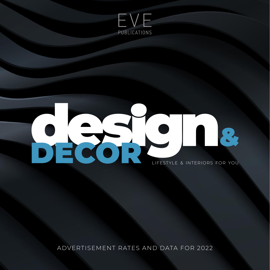

## ROP LIFESTYLE & INTERIORS FOR YOU

ADVERTISEMENT RATES AND DATA FOR 2022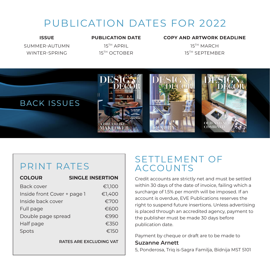### PUBLICATION DATES FOR 2022

SUMMER-AUTUMN 15<sup>TH</sup> APRIL 15TH MARCH WINTER-SPRING 15<sup>TH</sup> OCTOBER 15TH SEPTEMBER

#### **ISSUE PUBLICATION DATE COPY AND ARTWORK DEADLINE**



#### PRINT RATES

| <b>COLOUR</b>               | <b>SINGLE INSERTION</b> |
|-----------------------------|-------------------------|
| Back cover                  | €1,100                  |
| Inside front Cover + page 1 | €1,400                  |
| Inside back cover           | €700                    |
| Full page                   | €600                    |
| Double page spread          | €990                    |
| Half page                   | €350                    |
| Spots                       | €150                    |

**RATES ARE EXCLUDING VAT**

#### SETTLEMENT OF ACCOUNTS

Credit accounts are strictly net and must be settled within 30 days of the date of invoice, failing which a surcharge of 1.5% per month will be imposed. If an account is overdue, EVE Publications reserves the right to suspend future insertions. Unless advertising is placed through an accredited agency, payment to the publisher must be made 30 days before publication date.

Payment by cheque or draft are to be made to

#### **Suzanne Arnett**

5, Ponderosa, Triq is-Sagra Familja, Bidnija MST 5101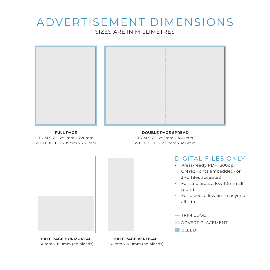#### ADVERTISEMENT DIMENSIONS SIZES ARE IN MILLIMETRES



#### **FULL PAGE**

TRIM SIZE: 285mm x 220mm WITH BLEED: 295mm x 230mm

#### **DOUBLE PAGE SPREAD**

TRIM SIZE: 285mm x 440mm WITH BLEED: 295mm x 450mm





**HALF PAGE HORIZONTAL** 130mm x 190mm (no bleeds)

**HALF PAGE VERTICAL** 260mm x 100mm (no bleeds)

#### DIGITAL FILES ONLY

- Press-ready PDF (300dpi CMYK; Fonts embedded) or JPG files accepted.
- For safe area, allow 10mm all round.
- For bleed, allow 5mm beyond all trim.
- $-$  TRIM EDGE
- ADVERT PLACEMENT

**BLEED**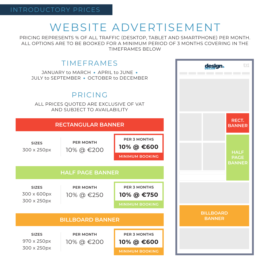## WEBSITE ADVERTISEMENT

PRICING REPRESENTS % OF ALL TRAFFIC (DESKTOP, TABLET AND SMARTPHONE) PER MONTH. ALL OPTIONS ARE TO BE BOOKED FOR A MINIMUM PERIOD OF 3 MONTHS COVERING IN THE TIMEFRAMES BELOW

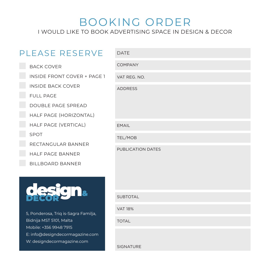#### BOOKING ORDER I WOULD LIKE TO BOOK ADVERTISING SPACE IN DESIGN & DECOR

| PLEASE RESERVE                                            | <b>DATE</b>              |
|-----------------------------------------------------------|--------------------------|
| <b>BACK COVER</b>                                         | <b>COMPANY</b>           |
| INSIDE FRONT COVER + PAGE 1                               | VAT REG. NO.             |
| <b>INSIDE BACK COVER</b>                                  | <b>ADDRESS</b>           |
| <b>FULL PAGE</b>                                          |                          |
| DOUBLE PAGE SPREAD                                        |                          |
| HALF PAGE (HORIZONTAL)                                    |                          |
| HALF PAGE (VERTICAL)                                      | <b>EMAIL</b>             |
| SPOT                                                      | TEL/MOB                  |
| RECTANGULAR BANNER                                        | <b>PUBLICATION DATES</b> |
| HALF PAGE BANNER                                          |                          |
| <b>BILLBOARD BANNER</b>                                   |                          |
|                                                           |                          |
|                                                           | <b>SUBTOTAL</b>          |
| 5, Ponderosa, Triq is-Sagra Familja,                      | <b>VAT 18%</b>           |
| Bidnija MST 5101, Malta                                   | <b>TOTAL</b>             |
| Mobile: +356 9948 7915<br>E: info@designdecormagazine.com |                          |
| W: designdecormagazine.com                                |                          |
|                                                           | <b>SIGNATURE</b>         |